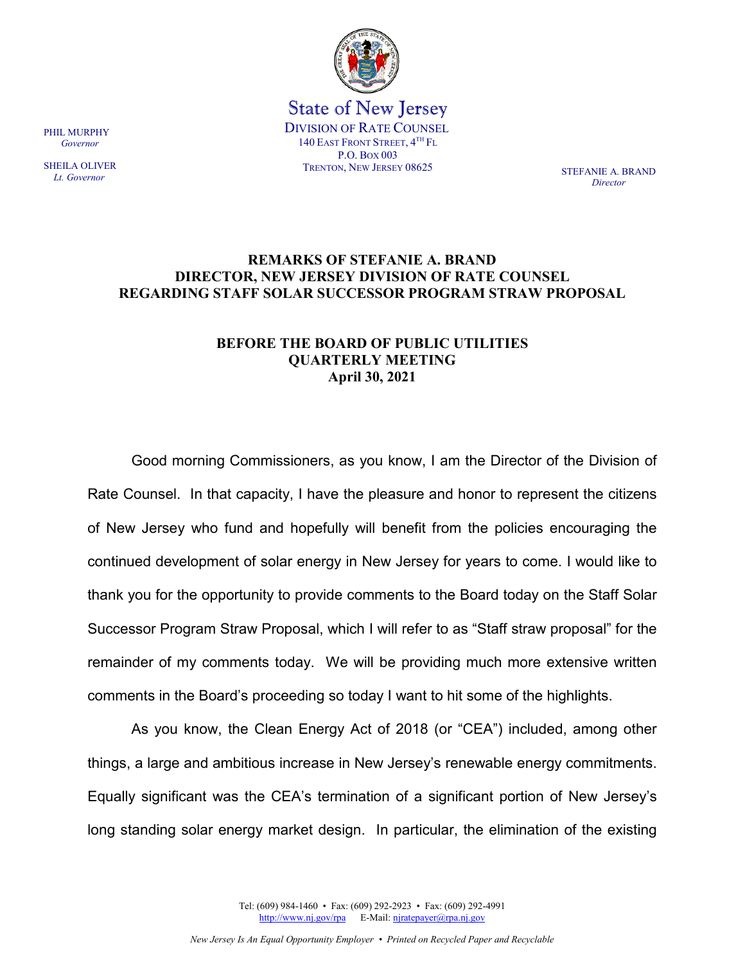

State of New Jersey DIVISION OF RATE COUNSEL 140 EAST FRONT STREET, 4TH FL P.O. BOX 003 TRENTON, NEW JERSEY 08625 STEFANIE A. BRAND

*Director*

## **REMARKS OF STEFANIE A. BRAND DIRECTOR, NEW JERSEY DIVISION OF RATE COUNSEL REGARDING STAFF SOLAR SUCCESSOR PROGRAM STRAW PROPOSAL**

## **BEFORE THE BOARD OF PUBLIC UTILITIES QUARTERLY MEETING April 30, 2021**

Good morning Commissioners, as you know, I am the Director of the Division of Rate Counsel. In that capacity, I have the pleasure and honor to represent the citizens of New Jersey who fund and hopefully will benefit from the policies encouraging the continued development of solar energy in New Jersey for years to come. I would like to thank you for the opportunity to provide comments to the Board today on the Staff Solar Successor Program Straw Proposal, which I will refer to as "Staff straw proposal" for the remainder of my comments today. We will be providing much more extensive written comments in the Board's proceeding so today I want to hit some of the highlights.

As you know, the Clean Energy Act of 2018 (or "CEA") included, among other things, a large and ambitious increase in New Jersey's renewable energy commitments. Equally significant was the CEA's termination of a significant portion of New Jersey's long standing solar energy market design. In particular, the elimination of the existing

> Tel: (609) 984-1460 • Fax: (609) 292-2923 • Fax: (609) 292-4991 [http://www.nj.gov/rpa](http://www.state.nj.us/publicadvocate/utility) E-Mail[: njratepayer@rpa.nj.gov](mailto:njratepayer@rpa.nj.gov)

PHIL MURPHY  *Governor*

SHEILA OLIVER  *Lt. Governor*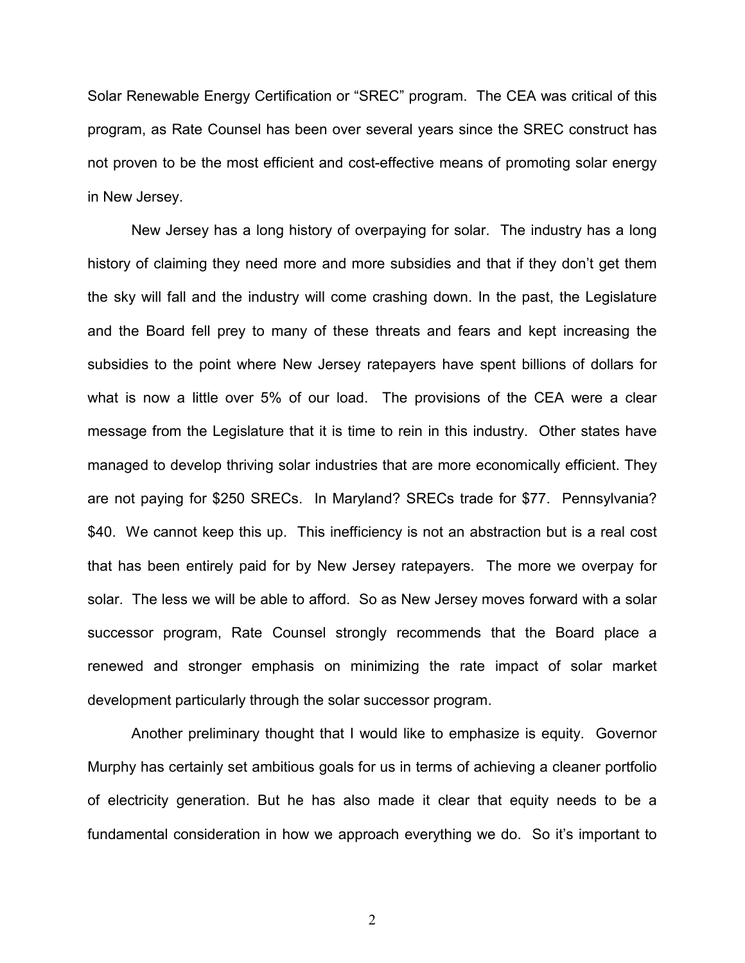Solar Renewable Energy Certification or "SREC" program. The CEA was critical of this program, as Rate Counsel has been over several years since the SREC construct has not proven to be the most efficient and cost-effective means of promoting solar energy in New Jersey.

New Jersey has a long history of overpaying for solar. The industry has a long history of claiming they need more and more subsidies and that if they don't get them the sky will fall and the industry will come crashing down. In the past, the Legislature and the Board fell prey to many of these threats and fears and kept increasing the subsidies to the point where New Jersey ratepayers have spent billions of dollars for what is now a little over 5% of our load. The provisions of the CEA were a clear message from the Legislature that it is time to rein in this industry. Other states have managed to develop thriving solar industries that are more economically efficient. They are not paying for \$250 SRECs. In Maryland? SRECs trade for \$77. Pennsylvania? \$40. We cannot keep this up. This inefficiency is not an abstraction but is a real cost that has been entirely paid for by New Jersey ratepayers. The more we overpay for solar. The less we will be able to afford. So as New Jersey moves forward with a solar successor program, Rate Counsel strongly recommends that the Board place a renewed and stronger emphasis on minimizing the rate impact of solar market development particularly through the solar successor program.

Another preliminary thought that I would like to emphasize is equity. Governor Murphy has certainly set ambitious goals for us in terms of achieving a cleaner portfolio of electricity generation. But he has also made it clear that equity needs to be a fundamental consideration in how we approach everything we do. So it's important to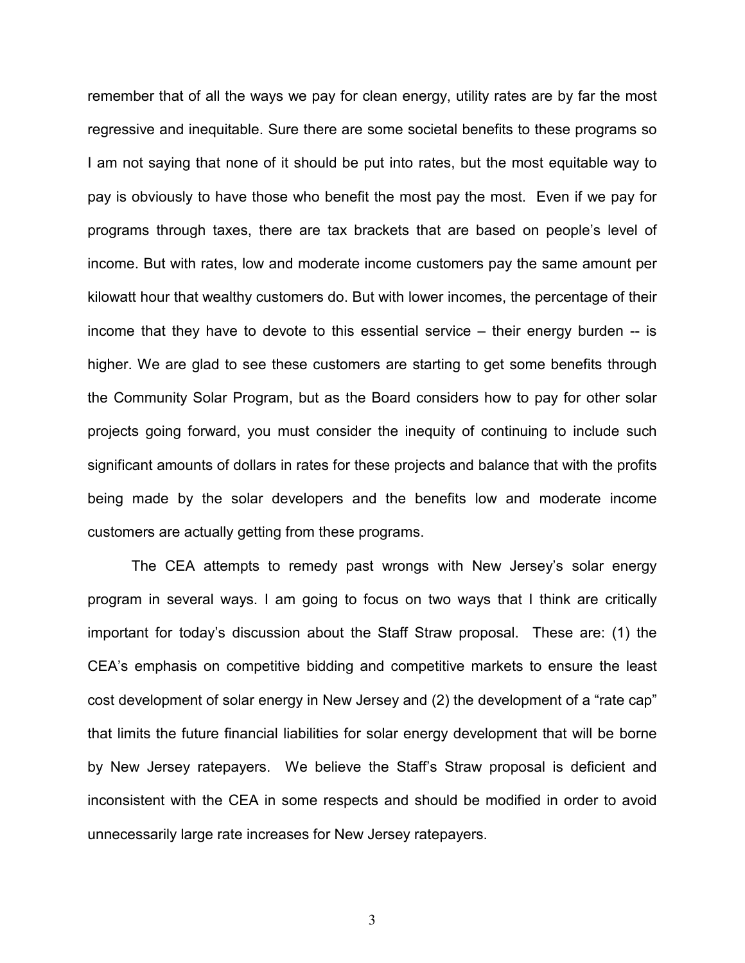remember that of all the ways we pay for clean energy, utility rates are by far the most regressive and inequitable. Sure there are some societal benefits to these programs so I am not saying that none of it should be put into rates, but the most equitable way to pay is obviously to have those who benefit the most pay the most. Even if we pay for programs through taxes, there are tax brackets that are based on people's level of income. But with rates, low and moderate income customers pay the same amount per kilowatt hour that wealthy customers do. But with lower incomes, the percentage of their income that they have to devote to this essential service – their energy burden -- is higher. We are glad to see these customers are starting to get some benefits through the Community Solar Program, but as the Board considers how to pay for other solar projects going forward, you must consider the inequity of continuing to include such significant amounts of dollars in rates for these projects and balance that with the profits being made by the solar developers and the benefits low and moderate income customers are actually getting from these programs.

The CEA attempts to remedy past wrongs with New Jersey's solar energy program in several ways. I am going to focus on two ways that I think are critically important for today's discussion about the Staff Straw proposal. These are: (1) the CEA's emphasis on competitive bidding and competitive markets to ensure the least cost development of solar energy in New Jersey and (2) the development of a "rate cap" that limits the future financial liabilities for solar energy development that will be borne by New Jersey ratepayers. We believe the Staff's Straw proposal is deficient and inconsistent with the CEA in some respects and should be modified in order to avoid unnecessarily large rate increases for New Jersey ratepayers.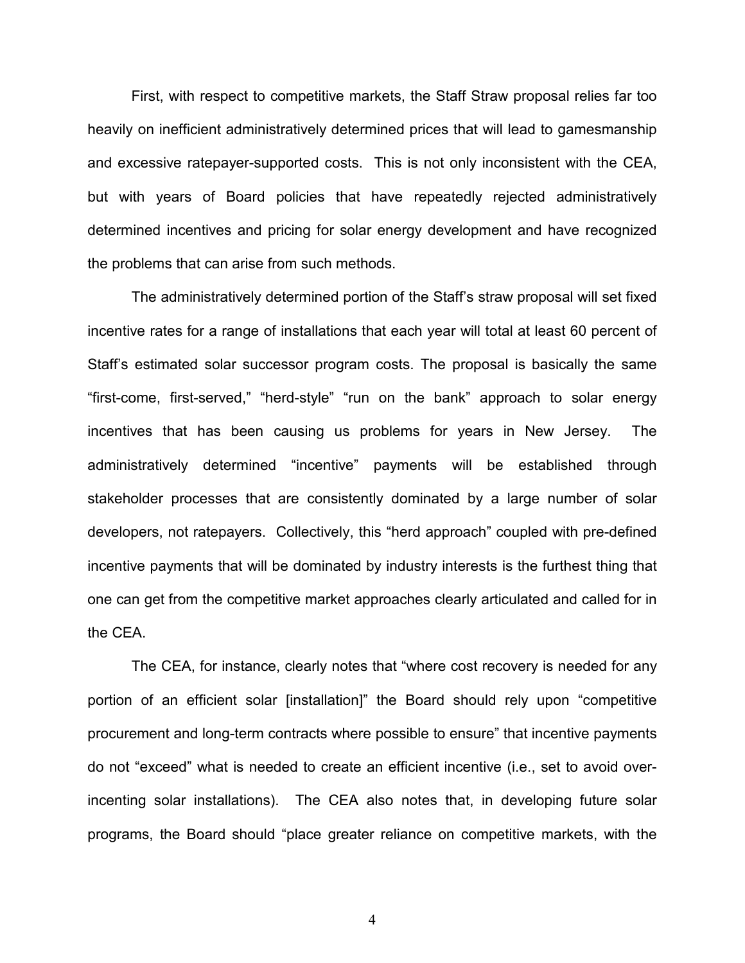First, with respect to competitive markets, the Staff Straw proposal relies far too heavily on inefficient administratively determined prices that will lead to gamesmanship and excessive ratepayer-supported costs. This is not only inconsistent with the CEA, but with years of Board policies that have repeatedly rejected administratively determined incentives and pricing for solar energy development and have recognized the problems that can arise from such methods.

The administratively determined portion of the Staff's straw proposal will set fixed incentive rates for a range of installations that each year will total at least 60 percent of Staff's estimated solar successor program costs. The proposal is basically the same "first-come, first-served," "herd-style" "run on the bank" approach to solar energy incentives that has been causing us problems for years in New Jersey. The administratively determined "incentive" payments will be established through stakeholder processes that are consistently dominated by a large number of solar developers, not ratepayers. Collectively, this "herd approach" coupled with pre-defined incentive payments that will be dominated by industry interests is the furthest thing that one can get from the competitive market approaches clearly articulated and called for in the CEA.

The CEA, for instance, clearly notes that "where cost recovery is needed for any portion of an efficient solar [installation]" the Board should rely upon "competitive procurement and long-term contracts where possible to ensure" that incentive payments do not "exceed" what is needed to create an efficient incentive (i.e., set to avoid overincenting solar installations). The CEA also notes that, in developing future solar programs, the Board should "place greater reliance on competitive markets, with the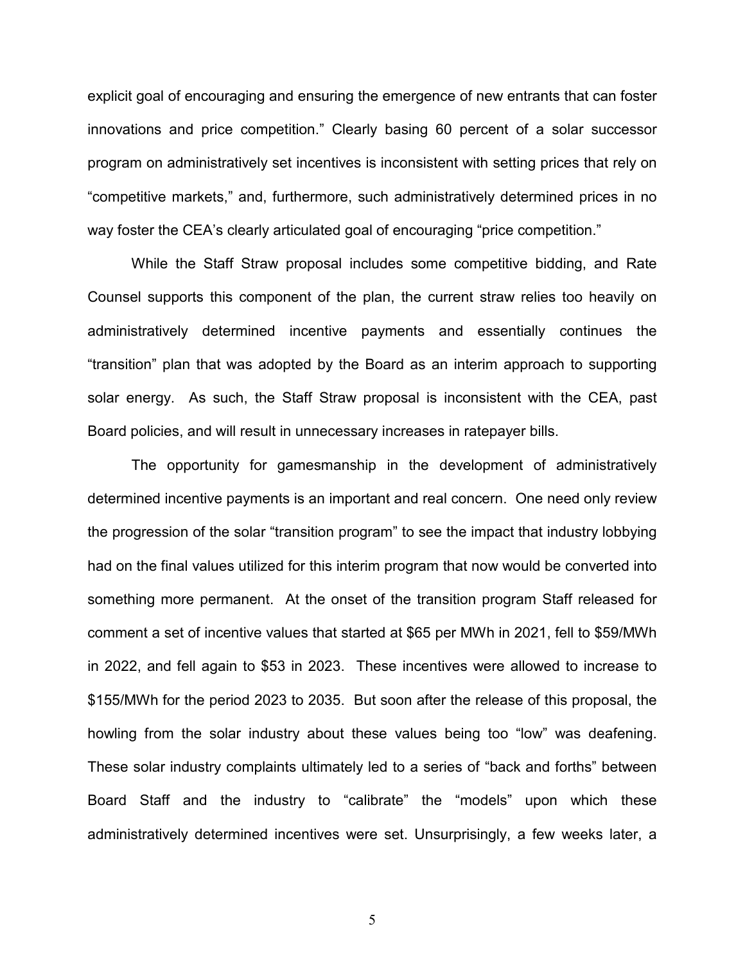explicit goal of encouraging and ensuring the emergence of new entrants that can foster innovations and price competition." Clearly basing 60 percent of a solar successor program on administratively set incentives is inconsistent with setting prices that rely on "competitive markets," and, furthermore, such administratively determined prices in no way foster the CEA's clearly articulated goal of encouraging "price competition."

While the Staff Straw proposal includes some competitive bidding, and Rate Counsel supports this component of the plan, the current straw relies too heavily on administratively determined incentive payments and essentially continues the "transition" plan that was adopted by the Board as an interim approach to supporting solar energy. As such, the Staff Straw proposal is inconsistent with the CEA, past Board policies, and will result in unnecessary increases in ratepayer bills.

The opportunity for gamesmanship in the development of administratively determined incentive payments is an important and real concern. One need only review the progression of the solar "transition program" to see the impact that industry lobbying had on the final values utilized for this interim program that now would be converted into something more permanent. At the onset of the transition program Staff released for comment a set of incentive values that started at \$65 per MWh in 2021, fell to \$59/MWh in 2022, and fell again to \$53 in 2023. These incentives were allowed to increase to \$155/MWh for the period 2023 to 2035. But soon after the release of this proposal, the howling from the solar industry about these values being too "low" was deafening. These solar industry complaints ultimately led to a series of "back and forths" between Board Staff and the industry to "calibrate" the "models" upon which these administratively determined incentives were set. Unsurprisingly, a few weeks later, a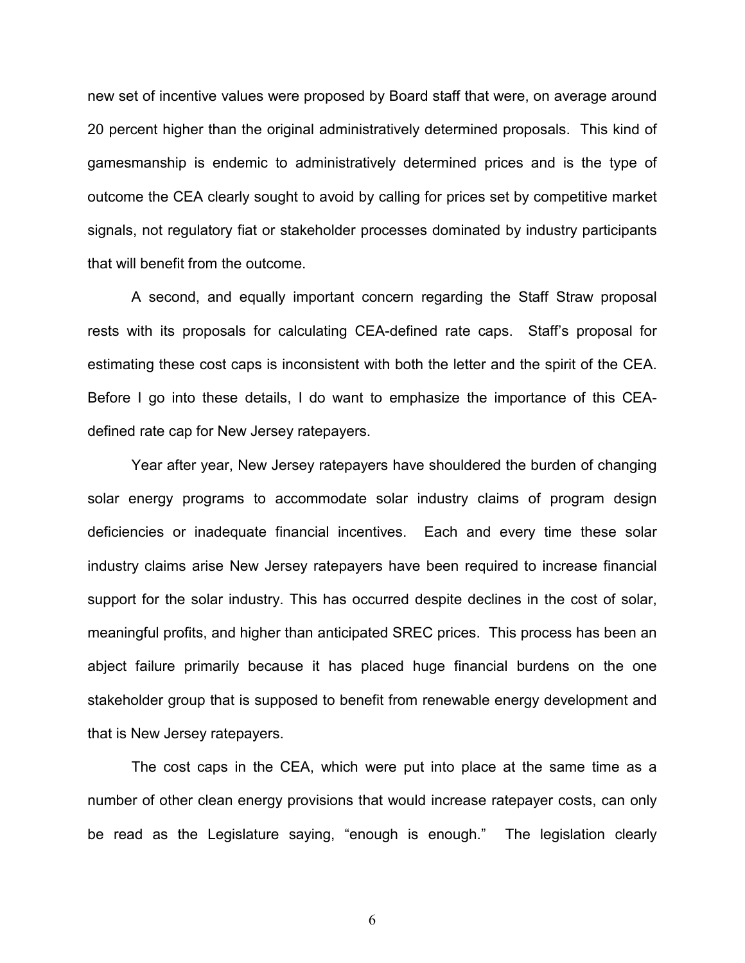new set of incentive values were proposed by Board staff that were, on average around 20 percent higher than the original administratively determined proposals. This kind of gamesmanship is endemic to administratively determined prices and is the type of outcome the CEA clearly sought to avoid by calling for prices set by competitive market signals, not regulatory fiat or stakeholder processes dominated by industry participants that will benefit from the outcome.

A second, and equally important concern regarding the Staff Straw proposal rests with its proposals for calculating CEA-defined rate caps. Staff's proposal for estimating these cost caps is inconsistent with both the letter and the spirit of the CEA. Before I go into these details, I do want to emphasize the importance of this CEAdefined rate cap for New Jersey ratepayers.

Year after year, New Jersey ratepayers have shouldered the burden of changing solar energy programs to accommodate solar industry claims of program design deficiencies or inadequate financial incentives. Each and every time these solar industry claims arise New Jersey ratepayers have been required to increase financial support for the solar industry. This has occurred despite declines in the cost of solar, meaningful profits, and higher than anticipated SREC prices. This process has been an abject failure primarily because it has placed huge financial burdens on the one stakeholder group that is supposed to benefit from renewable energy development and that is New Jersey ratepayers.

The cost caps in the CEA, which were put into place at the same time as a number of other clean energy provisions that would increase ratepayer costs, can only be read as the Legislature saying, "enough is enough." The legislation clearly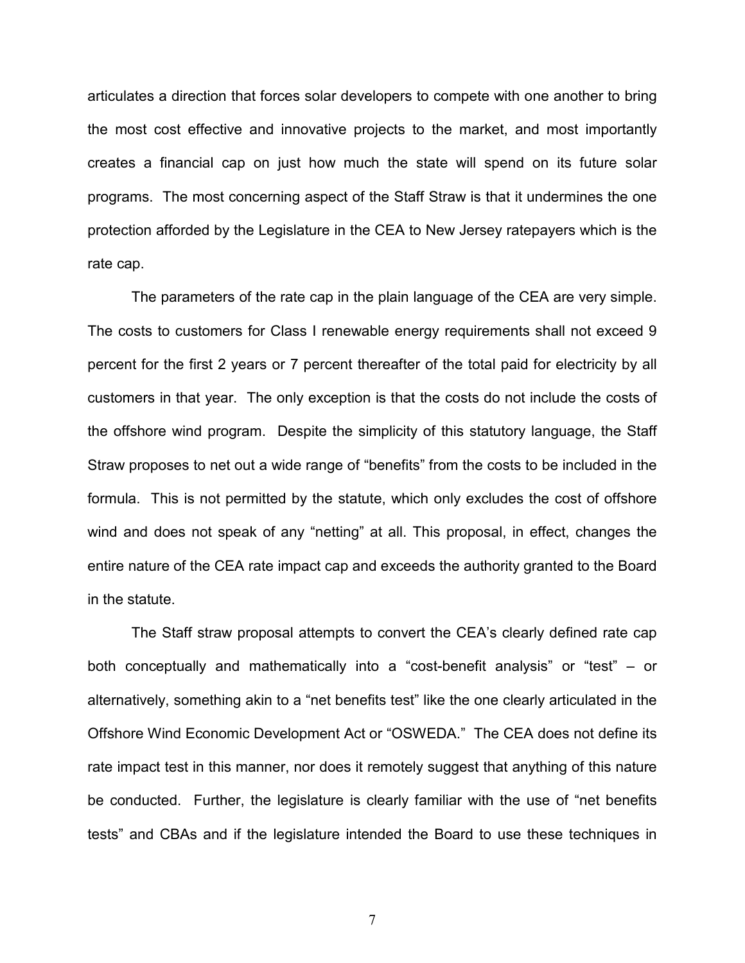articulates a direction that forces solar developers to compete with one another to bring the most cost effective and innovative projects to the market, and most importantly creates a financial cap on just how much the state will spend on its future solar programs. The most concerning aspect of the Staff Straw is that it undermines the one protection afforded by the Legislature in the CEA to New Jersey ratepayers which is the rate cap.

The parameters of the rate cap in the plain language of the CEA are very simple. The costs to customers for Class I renewable energy requirements shall not exceed 9 percent for the first 2 years or 7 percent thereafter of the total paid for electricity by all customers in that year. The only exception is that the costs do not include the costs of the offshore wind program. Despite the simplicity of this statutory language, the Staff Straw proposes to net out a wide range of "benefits" from the costs to be included in the formula. This is not permitted by the statute, which only excludes the cost of offshore wind and does not speak of any "netting" at all. This proposal, in effect, changes the entire nature of the CEA rate impact cap and exceeds the authority granted to the Board in the statute.

The Staff straw proposal attempts to convert the CEA's clearly defined rate cap both conceptually and mathematically into a "cost-benefit analysis" or "test" – or alternatively, something akin to a "net benefits test" like the one clearly articulated in the Offshore Wind Economic Development Act or "OSWEDA." The CEA does not define its rate impact test in this manner, nor does it remotely suggest that anything of this nature be conducted. Further, the legislature is clearly familiar with the use of "net benefits tests" and CBAs and if the legislature intended the Board to use these techniques in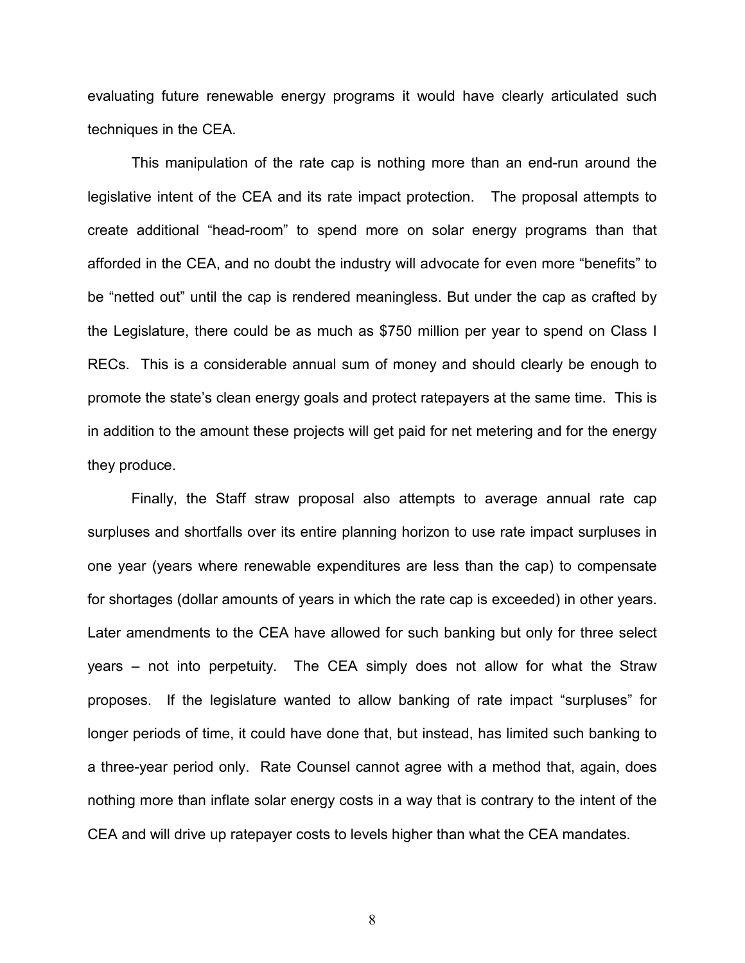evaluating future renewable energy programs it would have clearly articulated such techniques in the CEA.

This manipulation of the rate cap is nothing more than an end-run around the legislative intent of the CEA and its rate impact protection. The proposal attempts to create additional "head-room" to spend more on solar energy programs than that afforded in the CEA, and no doubt the industry will advocate for even more "benefits" to be "netted out" until the cap is rendered meaningless. But under the cap as crafted by the Legislature, there could be as much as \$750 million per year to spend on Class I RECs. This is a considerable annual sum of money and should clearly be enough to promote the state's clean energy goals and protect ratepayers at the same time. This is in addition to the amount these projects will get paid for net metering and for the energy they produce.

Finally, the Staff straw proposal also attempts to average annual rate cap surpluses and shortfalls over its entire planning horizon to use rate impact surpluses in one year (years where renewable expenditures are less than the cap) to compensate for shortages (dollar amounts of years in which the rate cap is exceeded) in other years. Later amendments to the CEA have allowed for such banking but only for three select years – not into perpetuity. The CEA simply does not allow for what the Straw proposes. If the legislature wanted to allow banking of rate impact "surpluses" for longer periods of time, it could have done that, but instead, has limited such banking to a three-year period only. Rate Counsel cannot agree with a method that, again, does nothing more than inflate solar energy costs in a way that is contrary to the intent of the CEA and will drive up ratepayer costs to levels higher than what the CEA mandates.